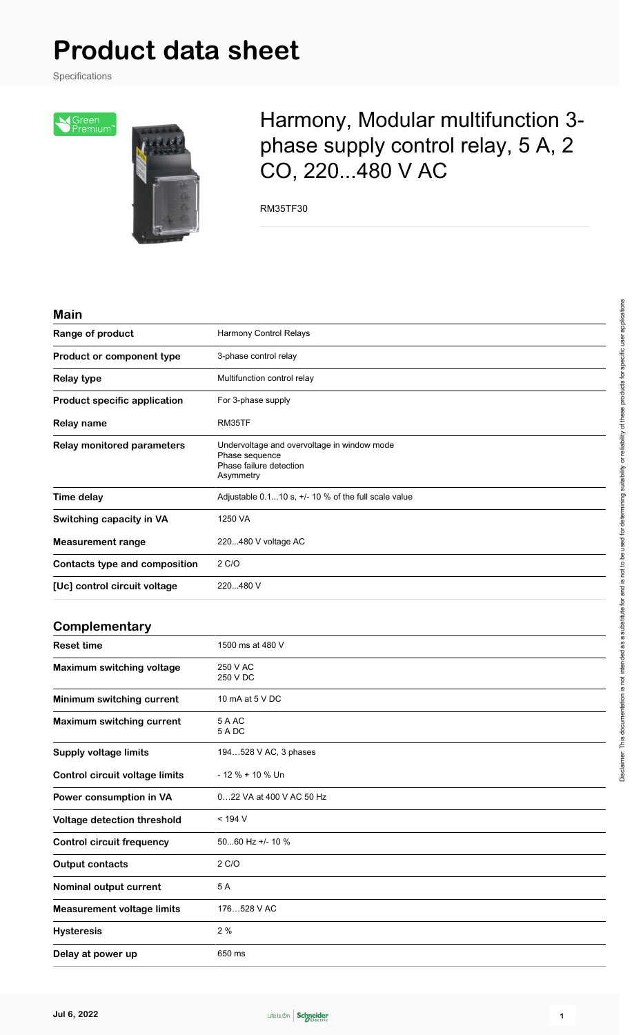Specifications

Sereen<br>Premium<sup>®</sup>



## Harmony, Modular multifunction 3 phase supply control relay, 5 A, 2 CO, 220...480 V AC

RM35TF30

#### **Main**

| Range of product                      | <b>Harmony Control Relays</b>                                                                         |
|---------------------------------------|-------------------------------------------------------------------------------------------------------|
| Product or component type             | 3-phase control relay                                                                                 |
| <b>Relay type</b>                     | Multifunction control relay                                                                           |
| <b>Product specific application</b>   | For 3-phase supply                                                                                    |
| <b>Relay name</b>                     | RM35TF                                                                                                |
| <b>Relay monitored parameters</b>     | Undervoltage and overvoltage in window mode<br>Phase sequence<br>Phase failure detection<br>Asymmetry |
| <b>Time delay</b>                     | Adjustable 0.110 s, +/- 10 % of the full scale value                                                  |
| Switching capacity in VA              | 1250 VA                                                                                               |
| Measurement range                     | 220480 V voltage AC                                                                                   |
| <b>Contacts type and composition</b>  | 2 C/O                                                                                                 |
| [Uc] control circuit voltage          | 220480 V                                                                                              |
| Complementary                         |                                                                                                       |
| <b>Reset time</b>                     | 1500 ms at 480 V                                                                                      |
| <b>Maximum switching voltage</b>      | 250 V AC<br>250 V DC                                                                                  |
| Minimum switching current             | 10 mA at 5 V DC                                                                                       |
| <b>Maximum switching current</b>      | 5 A AC<br>5 A DC                                                                                      |
| <b>Supply voltage limits</b>          | 194528 V AC, 3 phases                                                                                 |
| <b>Control circuit voltage limits</b> | $-12% + 10%$ Un                                                                                       |
| Power consumption in VA               | 022 VA at 400 V AC 50 Hz                                                                              |
| Voltage detection threshold           | < 194 V                                                                                               |
| <b>Control circuit frequency</b>      | 5060 Hz +/- 10 %                                                                                      |
| <b>Output contacts</b>                | 2 C/O                                                                                                 |
|                                       |                                                                                                       |

**Nominal output current** 5 A

**Hysteresis** 2 %

**Delay at power up** 650 ms

**Measurement voltage limits** 176…528 V AC

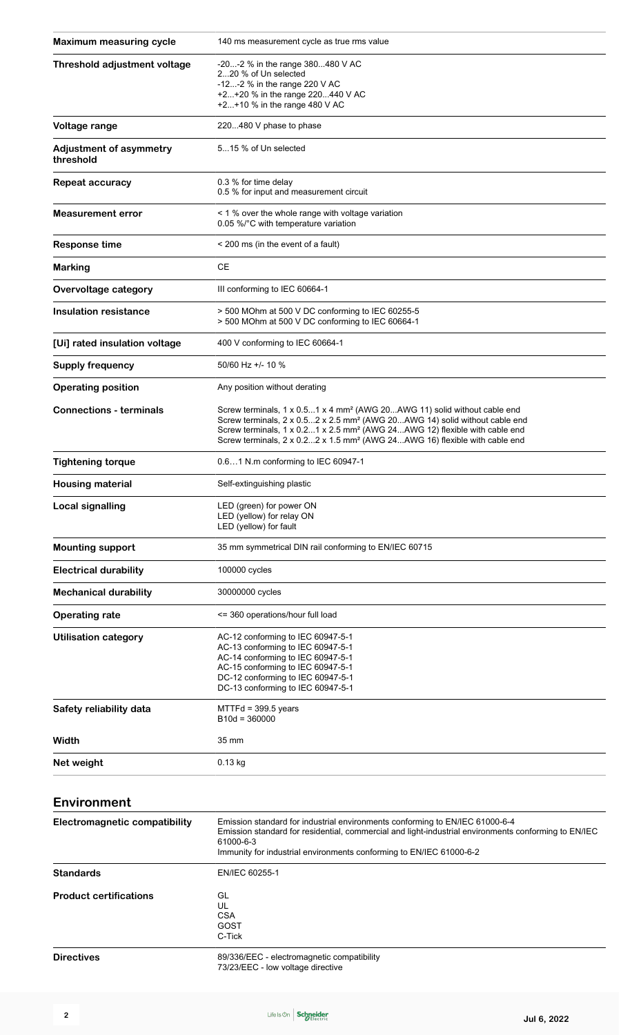| <b>Maximum measuring cycle</b>              | 140 ms measurement cycle as true rms value                                                                                                                                                                                                                                                                                                                         |  |  |  |  |
|---------------------------------------------|--------------------------------------------------------------------------------------------------------------------------------------------------------------------------------------------------------------------------------------------------------------------------------------------------------------------------------------------------------------------|--|--|--|--|
| Threshold adjustment voltage                | -20-2 % in the range 380480 V AC<br>220 % of Un selected<br>-12-2 % in the range 220 V AC<br>+2+20 % in the range 220440 V AC<br>+2+10 % in the range 480 V AC                                                                                                                                                                                                     |  |  |  |  |
| Voltage range                               | 220480 V phase to phase                                                                                                                                                                                                                                                                                                                                            |  |  |  |  |
| <b>Adjustment of asymmetry</b><br>threshold | 515 % of Un selected                                                                                                                                                                                                                                                                                                                                               |  |  |  |  |
| <b>Repeat accuracy</b>                      | 0.3 % for time delay<br>0.5 % for input and measurement circuit                                                                                                                                                                                                                                                                                                    |  |  |  |  |
| <b>Measurement error</b>                    | < 1 % over the whole range with voltage variation<br>0.05 %/°C with temperature variation                                                                                                                                                                                                                                                                          |  |  |  |  |
| <b>Response time</b>                        | < 200 ms (in the event of a fault)                                                                                                                                                                                                                                                                                                                                 |  |  |  |  |
| <b>Marking</b>                              | <b>CE</b>                                                                                                                                                                                                                                                                                                                                                          |  |  |  |  |
| Overvoltage category                        | III conforming to IEC 60664-1                                                                                                                                                                                                                                                                                                                                      |  |  |  |  |
| <b>Insulation resistance</b>                | > 500 MOhm at 500 V DC conforming to IEC 60255-5<br>> 500 MOhm at 500 V DC conforming to IEC 60664-1                                                                                                                                                                                                                                                               |  |  |  |  |
| [Ui] rated insulation voltage               | 400 V conforming to IEC 60664-1                                                                                                                                                                                                                                                                                                                                    |  |  |  |  |
| <b>Supply frequency</b>                     | 50/60 Hz +/- 10 %                                                                                                                                                                                                                                                                                                                                                  |  |  |  |  |
| <b>Operating position</b>                   | Any position without derating                                                                                                                                                                                                                                                                                                                                      |  |  |  |  |
| <b>Connections - terminals</b>              | Screw terminals, 1 x 0.51 x 4 mm <sup>2</sup> (AWG 20AWG 11) solid without cable end<br>Screw terminals, 2 x 0.52 x 2.5 mm <sup>2</sup> (AWG 20AWG 14) solid without cable end<br>Screw terminals, 1 x 0.21 x 2.5 mm <sup>2</sup> (AWG 24AWG 12) flexible with cable end<br>Screw terminals, 2 x 0.22 x 1.5 mm <sup>2</sup> (AWG 24AWG 16) flexible with cable end |  |  |  |  |
| <b>Tightening torque</b>                    | 0.61 N.m conforming to IEC 60947-1                                                                                                                                                                                                                                                                                                                                 |  |  |  |  |
| <b>Housing material</b>                     | Self-extinguishing plastic                                                                                                                                                                                                                                                                                                                                         |  |  |  |  |
| <b>Local signalling</b>                     | LED (green) for power ON<br>LED (yellow) for relay ON<br>LED (yellow) for fault                                                                                                                                                                                                                                                                                    |  |  |  |  |
| <b>Mounting support</b>                     | 35 mm symmetrical DIN rail conforming to EN/IEC 60715                                                                                                                                                                                                                                                                                                              |  |  |  |  |
| <b>Electrical durability</b>                | 100000 cycles                                                                                                                                                                                                                                                                                                                                                      |  |  |  |  |
| <b>Mechanical durability</b>                | 30000000 cycles                                                                                                                                                                                                                                                                                                                                                    |  |  |  |  |
| <b>Operating rate</b>                       | <= 360 operations/hour full load                                                                                                                                                                                                                                                                                                                                   |  |  |  |  |
| <b>Utilisation category</b>                 | AC-12 conforming to IEC 60947-5-1<br>AC-13 conforming to IEC 60947-5-1<br>AC-14 conforming to IEC 60947-5-1<br>AC-15 conforming to IEC 60947-5-1<br>DC-12 conforming to IEC 60947-5-1<br>DC-13 conforming to IEC 60947-5-1                                                                                                                                         |  |  |  |  |
| Safety reliability data                     | $MTTH = 399.5$ years<br>$B10d = 360000$                                                                                                                                                                                                                                                                                                                            |  |  |  |  |
| Width                                       | 35 mm                                                                                                                                                                                                                                                                                                                                                              |  |  |  |  |
| Net weight                                  | $0.13$ kg                                                                                                                                                                                                                                                                                                                                                          |  |  |  |  |
|                                             |                                                                                                                                                                                                                                                                                                                                                                    |  |  |  |  |

### **Environment**

| Electromagnetic compatibility | Emission standard for industrial environments conforming to EN/IEC 61000-6-4<br>Emission standard for residential, commercial and light-industrial environments conforming to EN/IEC<br>61000-6-3<br>Immunity for industrial environments conforming to EN/IEC 61000-6-2 |
|-------------------------------|--------------------------------------------------------------------------------------------------------------------------------------------------------------------------------------------------------------------------------------------------------------------------|
| <b>Standards</b>              | EN/IEC 60255-1                                                                                                                                                                                                                                                           |
| <b>Product certifications</b> | GL<br>UL<br><b>CSA</b><br>GOST<br>C-Tick                                                                                                                                                                                                                                 |
| <b>Directives</b>             | 89/336/EEC - electromagnetic compatibility                                                                                                                                                                                                                               |

73/23/EEC - low voltage directive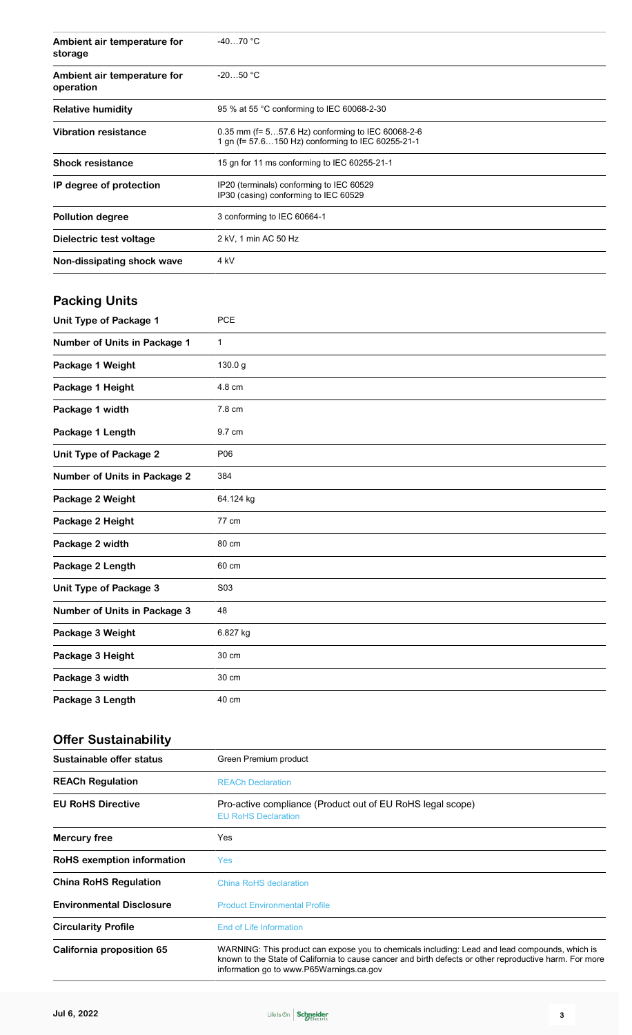| Ambient air temperature for<br>storage   | -4070 °C                                                                                                                                                                                                                                              |
|------------------------------------------|-------------------------------------------------------------------------------------------------------------------------------------------------------------------------------------------------------------------------------------------------------|
| Ambient air temperature for<br>operation | $-2050 °C$                                                                                                                                                                                                                                            |
| <b>Relative humidity</b>                 | 95 % at 55 °C conforming to IEC 60068-2-30                                                                                                                                                                                                            |
| <b>Vibration resistance</b>              | 0.35 mm (f= 557.6 Hz) conforming to IEC 60068-2-6<br>1 gn (f= 57.6150 Hz) conforming to IEC 60255-21-1                                                                                                                                                |
| <b>Shock resistance</b>                  | 15 gn for 11 ms conforming to IEC 60255-21-1                                                                                                                                                                                                          |
| IP degree of protection                  | IP20 (terminals) conforming to IEC 60529<br>IP30 (casing) conforming to IEC 60529                                                                                                                                                                     |
| <b>Pollution degree</b>                  | 3 conforming to IEC 60664-1                                                                                                                                                                                                                           |
| Dielectric test voltage                  | 2 kV, 1 min AC 50 Hz                                                                                                                                                                                                                                  |
| Non-dissipating shock wave               | 4 kV                                                                                                                                                                                                                                                  |
| <b>Packing Units</b>                     |                                                                                                                                                                                                                                                       |
| Unit Type of Package 1                   | <b>PCE</b>                                                                                                                                                                                                                                            |
| Number of Units in Package 1             | 1                                                                                                                                                                                                                                                     |
| Package 1 Weight                         | 130.0 g                                                                                                                                                                                                                                               |
| Package 1 Height                         | 4.8 cm                                                                                                                                                                                                                                                |
| Package 1 width                          | 7.8 cm                                                                                                                                                                                                                                                |
| Package 1 Length                         | 9.7 cm                                                                                                                                                                                                                                                |
| <b>Unit Type of Package 2</b>            | P06                                                                                                                                                                                                                                                   |
| <b>Number of Units in Package 2</b>      | 384                                                                                                                                                                                                                                                   |
| Package 2 Weight                         | 64.124 kg                                                                                                                                                                                                                                             |
| Package 2 Height                         | 77 cm                                                                                                                                                                                                                                                 |
| Package 2 width                          | 80 cm                                                                                                                                                                                                                                                 |
| Package 2 Length                         | 60 cm                                                                                                                                                                                                                                                 |
| Unit Type of Package 3                   | S03                                                                                                                                                                                                                                                   |
| <b>Number of Units in Package 3</b>      | 48                                                                                                                                                                                                                                                    |
| Package 3 Weight                         | 6.827 kg                                                                                                                                                                                                                                              |
| Package 3 Height                         | 30 cm                                                                                                                                                                                                                                                 |
| Package 3 width                          | 30 cm                                                                                                                                                                                                                                                 |
| Package 3 Length                         | 40 cm                                                                                                                                                                                                                                                 |
| <b>Offer Sustainability</b>              |                                                                                                                                                                                                                                                       |
| Sustainable offer status                 | Green Premium product                                                                                                                                                                                                                                 |
| <b>REACh Regulation</b>                  | <b>REACh Declaration</b>                                                                                                                                                                                                                              |
| <b>EU RoHS Directive</b>                 | Pro-active compliance (Product out of EU RoHS legal scope)<br><b>EU RoHS Declaration</b>                                                                                                                                                              |
| <b>Mercury free</b>                      | Yes                                                                                                                                                                                                                                                   |
| <b>RoHS exemption information</b>        | <b>Yes</b>                                                                                                                                                                                                                                            |
| <b>China RoHS Regulation</b>             | <b>China RoHS declaration</b>                                                                                                                                                                                                                         |
| <b>Environmental Disclosure</b>          | <b>Product Environmental Profile</b>                                                                                                                                                                                                                  |
| <b>Circularity Profile</b>               | <b>End of Life Information</b>                                                                                                                                                                                                                        |
| California proposition 65                | WARNING: This product can expose you to chemicals including: Lead and lead compounds, which is<br>known to the State of California to cause cancer and birth defects or other reproductive harm. For more<br>information go to www.P65Warnings.ca.gov |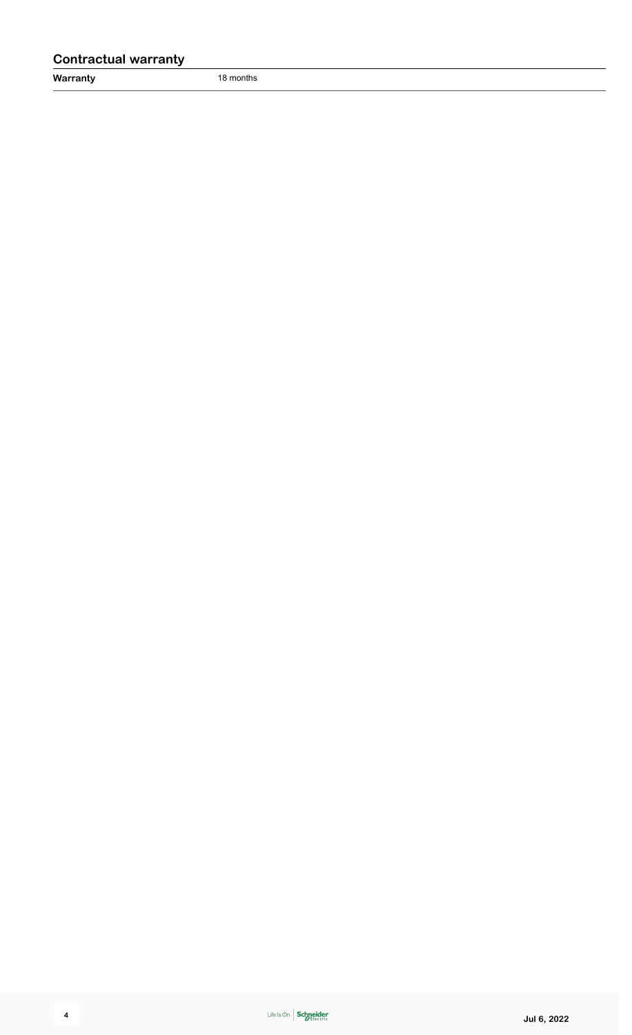### **Contractual warranty**

**Warranty** 18 months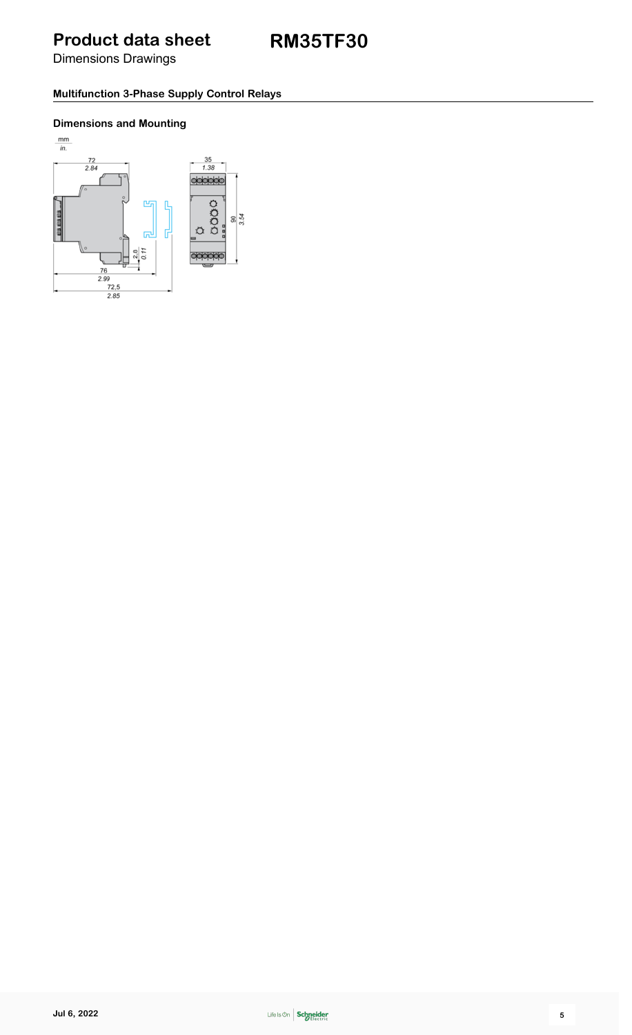Dimensions Drawings

### **Multifunction 3-Phase Supply Control Relays**

### **Dimensions and Mounting**

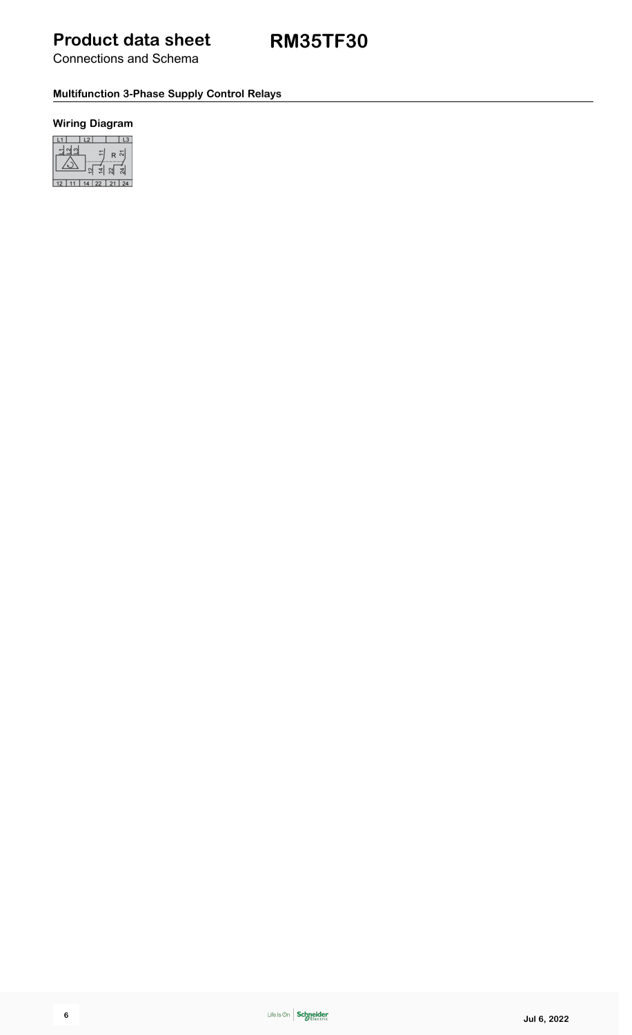Connections and Schema

### **Multifunction 3-Phase Supply Control Relays**

### **Wiring Diagram**